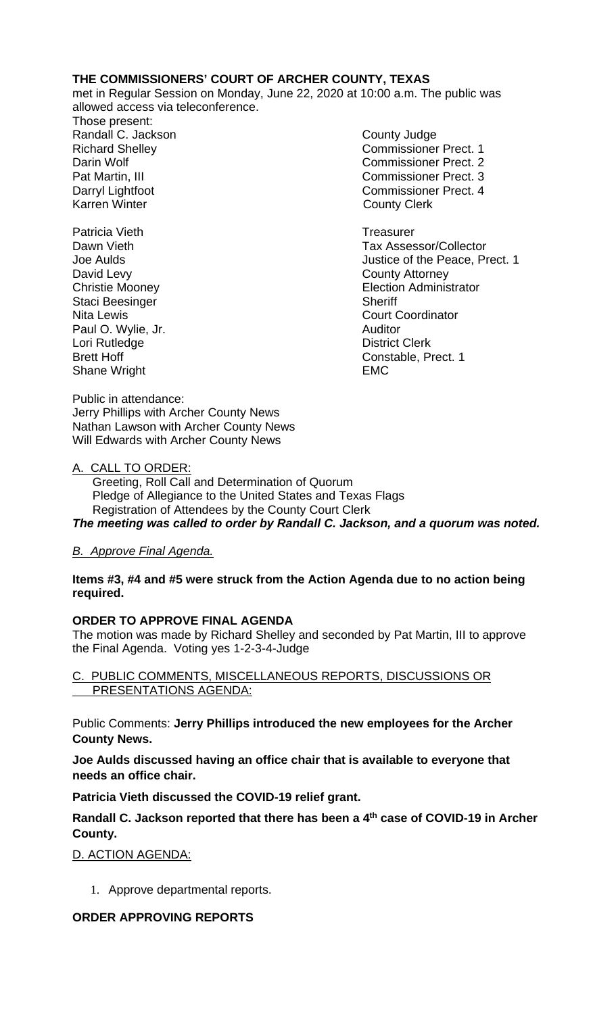## **THE COMMISSIONERS' COURT OF ARCHER COUNTY, TEXAS**

met in Regular Session on Monday, June 22, 2020 at 10:00 a.m. The public was allowed access via teleconference.

Those present: Randall C. Jackson County Judge Karren Winter **County Clerk** 

Patricia Vieth **Treasurer Treasurer** David Levy **County Attorney** Staci Beesinger Sheriff Paul O. Wylie, Jr. (2008) 2008 - Auditor (2008) 2012 2013 2014 2015 2016 2017 2018 2019 2017 2018 2019 2017 20<br>Cori Rutledge (2009) 2017 2018 2019 2017 2018 2019 2018 2019 2019 2018 2019 2019 2018 2019 2019 2018 2019 201 Lori Rutledge Shane Wright **EMC** 

Richard Shelley Commissioner Prect. 1 Darin Wolf Commissioner Prect. 2 Pat Martin, III Commissioner Prect. 3 Darryl Lightfoot Commissioner Prect. 4

Dawn Vieth Tax Assessor/Collector Joe Aulds Justice of the Peace, Prect. 1 Christie Mooney Election Administrator Nita Lewis Court Coordinator Brett Hoff Constable, Prect. 1

Public in attendance: Jerry Phillips with Archer County News Nathan Lawson with Archer County News Will Edwards with Archer County News

## A. CALL TO ORDER:

 Greeting, Roll Call and Determination of Quorum Pledge of Allegiance to the United States and Texas Flags Registration of Attendees by the County Court Clerk *The meeting was called to order by Randall C. Jackson, and a quorum was noted.*

*B. Approve Final Agenda.*

#### **Items #3, #4 and #5 were struck from the Action Agenda due to no action being required.**

# **ORDER TO APPROVE FINAL AGENDA**

The motion was made by Richard Shelley and seconded by Pat Martin, III to approve the Final Agenda. Voting yes 1-2-3-4-Judge

## C. PUBLIC COMMENTS, MISCELLANEOUS REPORTS, DISCUSSIONS OR PRESENTATIONS AGENDA:

Public Comments: **Jerry Phillips introduced the new employees for the Archer County News.** 

**Joe Aulds discussed having an office chair that is available to everyone that needs an office chair.**

**Patricia Vieth discussed the COVID-19 relief grant.**

**Randall C. Jackson reported that there has been a 4th case of COVID-19 in Archer County.**

D. ACTION AGENDA:

1. Approve departmental reports.

## **ORDER APPROVING REPORTS**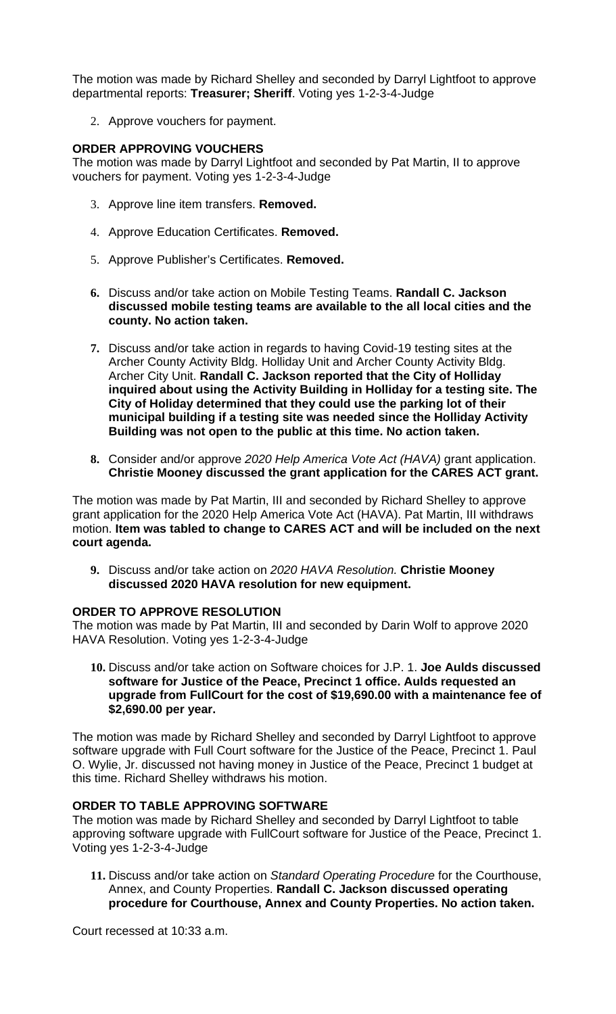The motion was made by Richard Shelley and seconded by Darryl Lightfoot to approve departmental reports: **Treasurer; Sheriff**. Voting yes 1-2-3-4-Judge

2. Approve vouchers for payment.

#### **ORDER APPROVING VOUCHERS**

The motion was made by Darryl Lightfoot and seconded by Pat Martin, II to approve vouchers for payment. Voting yes 1-2-3-4-Judge

- 3. Approve line item transfers. **Removed.**
- 4. Approve Education Certificates. **Removed.**
- 5. Approve Publisher's Certificates. **Removed.**
- **6.** Discuss and/or take action on Mobile Testing Teams. **Randall C. Jackson discussed mobile testing teams are available to the all local cities and the county. No action taken.**
- **7.** Discuss and/or take action in regards to having Covid-19 testing sites at the Archer County Activity Bldg. Holliday Unit and Archer County Activity Bldg. Archer City Unit. **Randall C. Jackson reported that the City of Holliday inquired about using the Activity Building in Holliday for a testing site. The City of Holiday determined that they could use the parking lot of their municipal building if a testing site was needed since the Holliday Activity Building was not open to the public at this time. No action taken.**
- **8.** Consider and/or approve *2020 Help America Vote Act (HAVA)* grant application. **Christie Mooney discussed the grant application for the CARES ACT grant.**

The motion was made by Pat Martin, III and seconded by Richard Shelley to approve grant application for the 2020 Help America Vote Act (HAVA). Pat Martin, III withdraws motion. **Item was tabled to change to CARES ACT and will be included on the next court agenda.**

**9.** Discuss and/or take action on *2020 HAVA Resolution.* **Christie Mooney discussed 2020 HAVA resolution for new equipment.**

#### **ORDER TO APPROVE RESOLUTION**

The motion was made by Pat Martin, III and seconded by Darin Wolf to approve 2020 HAVA Resolution. Voting yes 1-2-3-4-Judge

**10.** Discuss and/or take action on Software choices for J.P. 1. **Joe Aulds discussed software for Justice of the Peace, Precinct 1 office. Aulds requested an upgrade from FullCourt for the cost of \$19,690.00 with a maintenance fee of \$2,690.00 per year.** 

The motion was made by Richard Shelley and seconded by Darryl Lightfoot to approve software upgrade with Full Court software for the Justice of the Peace, Precinct 1. Paul O. Wylie, Jr. discussed not having money in Justice of the Peace, Precinct 1 budget at this time. Richard Shelley withdraws his motion.

#### **ORDER TO TABLE APPROVING SOFTWARE**

The motion was made by Richard Shelley and seconded by Darryl Lightfoot to table approving software upgrade with FullCourt software for Justice of the Peace, Precinct 1. Voting yes 1-2-3-4-Judge

**11.** Discuss and/or take action on *Standard Operating Procedure* for the Courthouse, Annex, and County Properties. **Randall C. Jackson discussed operating procedure for Courthouse, Annex and County Properties. No action taken.**

Court recessed at 10:33 a.m.